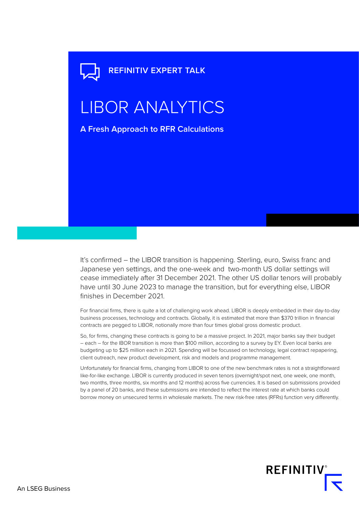## **REFINITIV EXPERT TALK**

# LIBOR ANALYTICS

**A Fresh Approach to RFR Calculations**

It's confirmed – the LIBOR transition is happening. Sterling, euro, Swiss franc and Japanese yen settings, and the one-week and two-month US dollar settings will cease immediately after 31 December 2021. The other US dollar tenors will probably have until 30 June 2023 to manage the transition, but for everything else, LIBOR finishes in December 2021.

For financial firms, there is quite a lot of challenging work ahead. LIBOR is deeply embedded in their day-to-day business processes, technology and contracts. Globally, it is estimated that more than \$370 trillion in financial contracts are pegged to LIBOR, notionally more than four times global gross domestic product.

So, for firms, changing these contracts is going to be a massive project. In 2021, major banks say their budget – each – for the IBOR transition is more than \$100 million, according to a survey by EY. Even local banks are budgeting up to \$25 million each in 2021. Spending will be focussed on technology, legal contract repapering, client outreach, new product development, risk and models and programme management.

Unfortunately for financial firms, changing from LIBOR to one of the new benchmark rates is not a straightforward like-for-like exchange. LIBOR is currently produced in seven tenors (overnight/spot next, one week, one month, two months, three months, six months and 12 months) across five currencies. It is based on submissions provided by a panel of 20 banks, and these submissions are intended to reflect the interest rate at which banks could borrow money on unsecured terms in wholesale markets. The new risk-free rates (RFRs) function very differently.

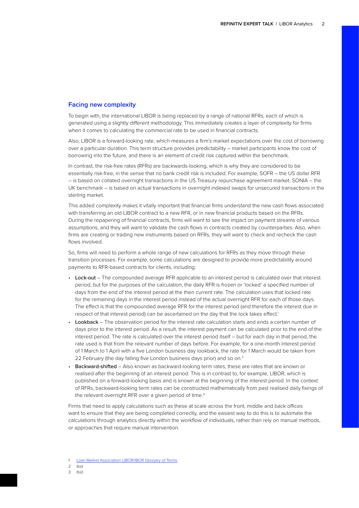#### **Facing new complexity**

To begin with, the international LIBOR is being replaced by a range of national RFRs, each of which is generated using a slightly different methodology. This immediately creates a layer of complexity for firms when it comes to calculating the commercial rate to be used in financial contracts.

Also, LIBOR is a forward-looking rate, which measures a firm's market expectations over the cost of borrowing over a particular duration. This term structure provides predictability – market participants know the cost of borrowing into the future, and there is an element of credit risk captured within the benchmark.

In contrast, the risk-free rates (RFRs) are backwards-looking, which is why they are considered to be essentially risk-free, in the sense that no bank credit risk is included. For example, SOFR – the US dollar RFR – is based on collated overnight transactions in the US Treasury repurchase agreement market. SONIA – the UK benchmark – is based on actual transactions in overnight indexed swaps for unsecured transactions in the sterling market.

This added complexity makes it vitally important that financial firms understand the new cash flows associated with transferring an old LIBOR contract to a new RFR, or in new financial products based on the RFRs. During the repapering of financial contracts, firms will want to see the impact on payment streams of various assumptions, and they will want to validate the cash flows in contracts created by counterparties. Also, when firms are creating or trading new instruments based on RFRs, they will want to check and recheck the cash flows involved.

So, firms will need to perform a whole range of new calculations for RFRs as they move through these transition processes. For example, some calculations are designed to provide more predictability around payments to RFR-based contracts for clients, including:

- Lock-out The compounded average RFR applicable to an interest period is calculated over that interest period, but for the purposes of the calculation, the daily RFR is frozen or 'locked' a specified number of days from the end of the interest period at the then current rate. The calculation uses that locked rate for the remaining days in the interest period instead of the actual overnight RFR for each of those days. The effect is that the compounded average RFR for the interest period (and therefore the interest due in respect of that interest period) can be ascertained on the day that the lock takes effect.<sup>1</sup>
- Lookback The observation period for the interest rate calculation starts and ends a certain number of days prior to the interest period. As a result, the interest payment can be calculated prior to the end of the interest period. The rate is calculated over the interest period itself – but for each day in that period, the rate used is that from the relevant number of days before. For example, for a one-month interest period of 1 March to 1 April with a five London business day lookback, the rate for 1 March would be taken from 22 February (the day falling five London business days prior) and so on.<sup>2</sup>
- Backward-shifted Also known as backward-looking term rates, these are rates that are known or realised after the beginning of an interest period. This is in contrast to, for example, LIBOR, which is published on a forward-looking basis and is known at the beginning of the interest period. In the context of RFRs, backward-looking term rates can be constructed mathematically from past realised daily fixings of the relevant overnight RFR over a given period of time.<sup>3</sup>

Firms that need to apply calculations such as these at scale across the front, middle and back offices want to ensure that they are being completed correctly, and the easiest way to do this is to automate the calculations through analytics directly within the workflow of individuals, rather than rely on manual methods, or approaches that require manual intervention.

[Loan Market Association LIBOR/IBOR Glossary of Terms](https://www.lma.eu.com/application/files/4115/9074/3005/LMA_LIBOR_RFR_Glossary_V052.pdf)

<sup>2</sup> Ibid

<sup>3</sup> Ibid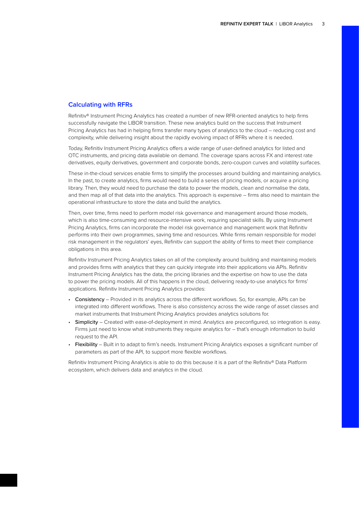#### **Calculating with RFRs**

Refinitiv® Instrument Pricing Analytics has created a number of new RFR-oriented analytics to help firms successfully navigate the LIBOR transition. These new analytics build on the success that Instrument Pricing Analytics has had in helping firms transfer many types of analytics to the cloud – reducing cost and complexity, while delivering insight about the rapidly evolving impact of RFRs where it is needed.

Today, Refinitiv Instrument Pricing Analytics offers a wide range of user-defined analytics for listed and OTC instruments, and pricing data available on demand. The coverage spans across FX and interest rate derivatives, equity derivatives, government and corporate bonds, zero-coupon curves and volatility surfaces.

These in-the-cloud services enable firms to simplify the processes around building and maintaining analytics. In the past, to create analytics, firms would need to build a series of pricing models, or acquire a pricing library. Then, they would need to purchase the data to power the models, clean and normalise the data, and then map all of that data into the analytics. This approach is expensive – firms also need to maintain the operational infrastructure to store the data and build the analytics.

Then, over time, firms need to perform model risk governance and management around those models, which is also time-consuming and resource-intensive work, requiring specialist skills. By using Instrument Pricing Analytics, firms can incorporate the model risk governance and management work that Refinitiv performs into their own programmes, saving time and resources. While firms remain responsible for model risk management in the regulators' eyes, Refinitiv can support the ability of firms to meet their compliance obligations in this area.

Refinitiv Instrument Pricing Analytics takes on all of the complexity around building and maintaining models and provides firms with analytics that they can quickly integrate into their applications via APIs. Refinitiv Instrument Pricing Analytics has the data, the pricing libraries and the expertise on how to use the data to power the pricing models. All of this happens in the cloud, delivering ready-to-use analytics for firms' applications. Refinitiv Instrument Pricing Analytics provides:

- Consistency Provided in its analytics across the different workflows. So, for example, APIs can be integrated into different workflows. There is also consistency across the wide range of asset classes and market instruments that Instrument Pricing Analytics provides analytics solutions for.
- Simplicity Created with ease-of-deployment in mind. Analytics are preconfigured, so integration is easy. Firms just need to know what instruments they require analytics for – that's enough information to build request to the API.
- Flexibility Built in to adapt to firm's needs. Instrument Pricing Analytics exposes a significant number of parameters as part of the API, to support more flexible workflows.

Refinitiv Instrument Pricing Analytics is able to do this because it is a part of the Refinitiv® Data Platform ecosystem, which delivers data and analytics in the cloud.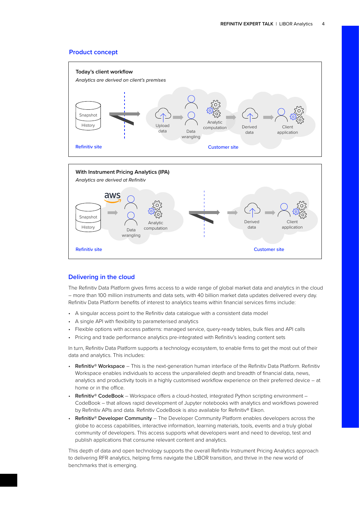#### **Product concept**



#### **Delivering in the cloud**

The Refinitiv Data Platform gives firms access to a wide range of global market data and analytics in the cloud – more than 100 million instruments and data sets, with 40 billion market data updates delivered every day. Refinitiv Data Platform benefits of interest to analytics teams within financial services firms include:

- A singular access point to the Refinitiv data catalogue with a consistent data model
- A single API with flexibility to parameterised analytics
- Flexible options with access patterns: managed service, query-ready tables, bulk files and API calls
- Pricing and trade performance analytics pre-integrated with Refinitiv's leading content sets

**Refinitiv site** Customer site Customer site Customer site Customer site Customer site

In turn, Refinitiv Data Platform supports a technology ecosystem, to enable firms to get the most out of their data and analytics. This includes:

- Refinitiv® Workspace This is the next-generation human interface of the Refinitiv Data Platform. Refinitiv Workspace enables individuals to access the unparalleled depth and breadth of financial data, news, analytics and productivity tools in a highly customised workflow experience on their preferred device – at home or in the office.
- Refinitiv® CodeBook Workspace offers a cloud-hosted, integrated Python scripting environment CodeBook – that allows rapid development of Jupyter notebooks with analytics and workflows powered by Refinitiv APIs and data. Refinitiv CodeBook is also available for Refinitiv® Eikon.
- Refinitiv® Developer Community The Developer Community Platform enables developers across the globe to access capabilities, interactive information, learning materials, tools, events and a truly global community of developers. This access supports what developers want and need to develop, test and publish applications that consume relevant content and analytics.

This depth of data and open technology supports the overall Refinitiv Instrument Pricing Analytics approach to delivering RFR analytics, helping firms navigate the LIBOR transition, and thrive in the new world of benchmarks that is emerging.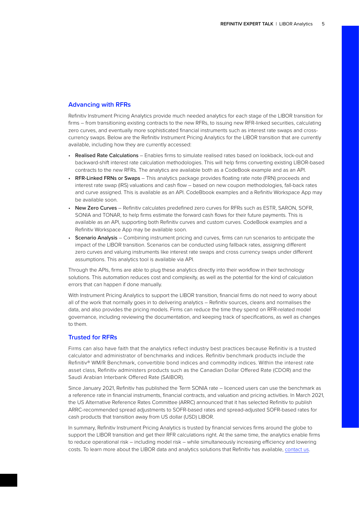#### **Advancing with RFRs**

Refinitiv Instrument Pricing Analytics provide much needed analytics for each stage of the LIBOR transition for firms – from transitioning existing contracts to the new RFRs, to issuing new RFR-linked securities, calculating zero curves, and eventually more sophisticated financial instruments such as interest rate swaps and crosscurrency swaps. Below are the Refinitiv Instrument Pricing Analytics for the LIBOR transition that are currently available, including how they are currently accessed:

- Realised Rate Calculations Enables firms to simulate realised rates based on lookback, lock-out and backward-shift interest rate calculation methodologies. This will help firms converting existing LIBOR-based contracts to the new RFRs. The analytics are available both as a CodeBook example and as an API.
- RFR-Linked FRNs or Swaps This analytics package provides floating rate note (FRN) proceeds and interest rate swap (IRS) valuations and cash flow – based on new coupon methodologies, fall-back rates and curve assigned. This is available as an API. CodeBbook examples and a Refinitiv Workspace App may be available soon.
- New Zero Curves Refinitiv calculates predefined zero curves for RFRs such as ESTR, SARON, SOFR, SONIA and TONAR, to help firms estimate the forward cash flows for their future payments. This is available as an API, supporting both Refinitiv curves and custom curves. CodeBook examples and a Refinitiv Workspace App may be available soon.
- **Scenario Analysis** Combining instrument pricing and curves, firms can run scenarios to anticipate the impact of the LIBOR transition. Scenarios can be conducted using fallback rates, assigning different zero curves and valuing instruments like interest rate swaps and cross currency swaps under different assumptions. This analytics tool is available via API.

Through the APIs, firms are able to plug these analytics directly into their workflow in their technology solutions. This automation reduces cost and complexity, as well as the potential for the kind of calculation errors that can happen if done manually.

With Instrument Pricing Analytics to support the LIBOR transition, financial firms do not need to worry about all of the work that normally goes in to delivering analytics – Refinitiv sources, cleans and normalises the data, and also provides the pricing models. Firms can reduce the time they spend on RFR-related model governance, including reviewing the documentation, and keeping track of specifications, as well as changes to them.

#### **Trusted for RFRs**

Firms can also have faith that the analytics reflect industry best practices because Refinitiv is a trusted calculator and administrator of benchmarks and indices. Refinitiv benchmark products include the Refinitiv® WM/R Benchmark, convertible bond indices and commodity indices. Within the interest rate asset class, Refinitiv administers products such as the Canadian Dollar Offered Rate (CDOR) and the Saudi Arabian Interbank Offered Rate (SAIBOR).

Since January 2021, Refinitiv has published the Term SONIA rate – licenced users can use the benchmark as a reference rate in financial instruments, financial contracts, and valuation and pricing activities. In March 2021, the US Alternative Reference Rates Committee (ARRC) announced that it has selected Refinitiv to publish ARRC-recommended spread adjustments to SOFR-based rates and spread-adjusted SOFR-based rates for cash products that transition away from US dollar (USD) LIBOR.

In summary, Refinitiv Instrument Pricing Analytics is trusted by financial services firms around the globe to support the LIBOR transition and get their RFR calculations right. At the same time, the analytics enable firms to reduce operational risk – including model risk – while simultaneously increasing efficiency and lowering costs. To learn more about the LIBOR data and analytics solutions that Refinitiv has available, [contact us](https://www.refinitiv.com/en/libor-transition-solutions).